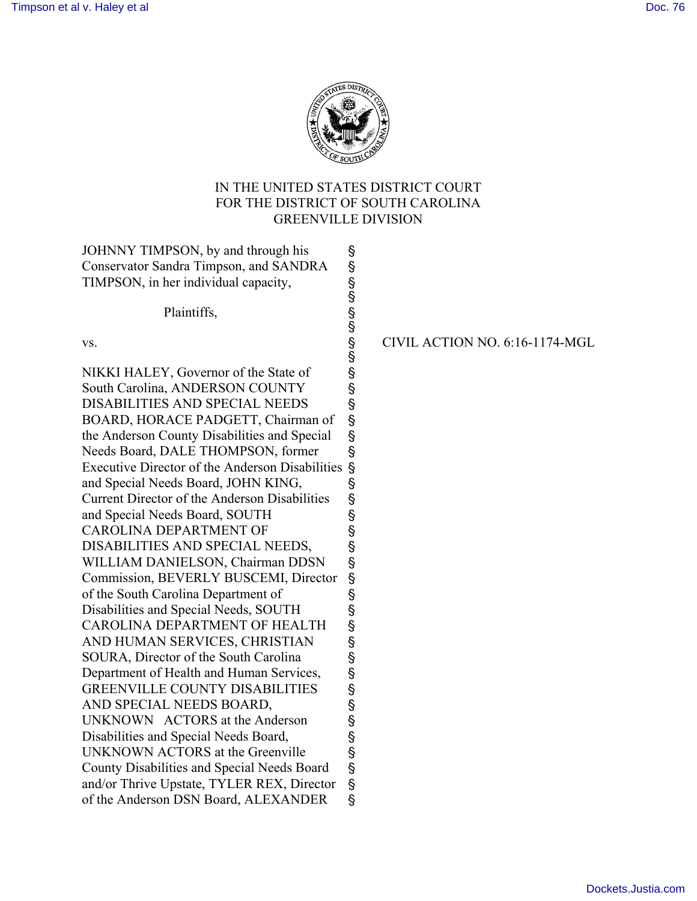

# IN THE UNITED STATES DISTRICT COURT FOR THE DISTRICT OF SOUTH CAROLINA GREENVILLE DIVISION

JOHNNY TIMPSON, by and through his \, Conservator Sandra Timpson, and SANDRA ' TIMPSON, in her individual capacity, '  $\mathcal{S}$ Plaintiffs, § vs.  $\sim$  CIVIL ACTION NO. 6:16-1174-MGL § NIKKI HALEY, Governor of the State of ' South Carolina, ANDERSON COUNTY ' DISABILITIES AND SPECIAL NEEDS ' BOARD, HORACE PADGETT, Chairman of ' the Anderson County Disabilities and Special ' Needs Board, DALE THOMPSON, former ' Executive Director of the Anderson Disabilities ' and Special Needs Board, JOHN KING, ' Current Director of the Anderson Disabilities ' and Special Needs Board, SOUTH ' CAROLINA DEPARTMENT OF \$ DISABILITIES AND SPECIAL NEEDS, ' WILLIAM DANIELSON, Chairman DDSN § Commission, BEVERLY BUSCEMI, Director ' of the South Carolina Department of \, Disabilities and Special Needs, SOUTH ' CAROLINA DEPARTMENT OF HEALTH § AND HUMAN SERVICES, CHRISTIAN ' SOURA, Director of the South Carolina ' Department of Health and Human Services, ' GREENVILLE COUNTY DISABILITIES \S AND SPECIAL NEEDS BOARD, ' UNKNOWN ACTORS at the Anderson ' Disabilities and Special Needs Board, ' UNKNOWN ACTORS at the Greenville \S County Disabilities and Special Needs Board ' and/or Thrive Upstate, TYLER REX, Director ' of the Anderson DSN Board, ALEXANDER '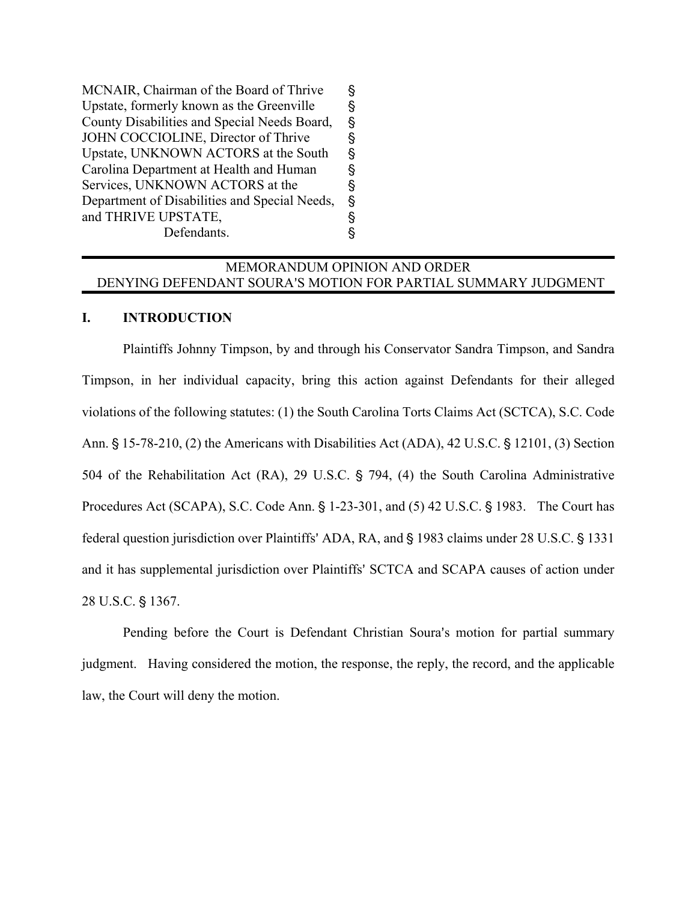MCNAIR, Chairman of the Board of Thrive ' Upstate, formerly known as the Greenville ' County Disabilities and Special Needs Board, ' JOHN COCCIOLINE, Director of Thrive \S Upstate, UNKNOWN ACTORS at the South ' Carolina Department at Health and Human ' Services, UNKNOWN ACTORS at the \, Department of Disabilities and Special Needs, ' and THRIVE UPSTATE, ' Defendants.

## MEMORANDUM OPINION AND ORDER DENYING DEFENDANT SOURA'S MOTION FOR PARTIAL SUMMARY JUDGMENT

#### **I. INTRODUCTION**

Plaintiffs Johnny Timpson, by and through his Conservator Sandra Timpson, and Sandra Timpson, in her individual capacity, bring this action against Defendants for their alleged violations of the following statutes: (1) the South Carolina Torts Claims Act (SCTCA), S.C. Code Ann.  $\S$  15-78-210, (2) the Americans with Disabilities Act (ADA), 42 U.S.C.  $\S$  12101, (3) Section 504 of the Rehabilitation Act (RA), 29 U.S.C.  $\S$  794, (4) the South Carolina Administrative Procedures Act (SCAPA), S.C. Code Ann.  $\S$  1-23-301, and (5) 42 U.S.C.  $\S$  1983. The Court has federal question jurisdiction over Plaintiffs' ADA, RA, and § 1983 claims under 28 U.S.C. § 1331 and it has supplemental jurisdiction over Plaintiffs' SCTCA and SCAPA causes of action under 28 U.S.C. § 1367.

Pending before the Court is Defendant Christian Soura's motion for partial summary judgment. Having considered the motion, the response, the reply, the record, and the applicable law, the Court will deny the motion.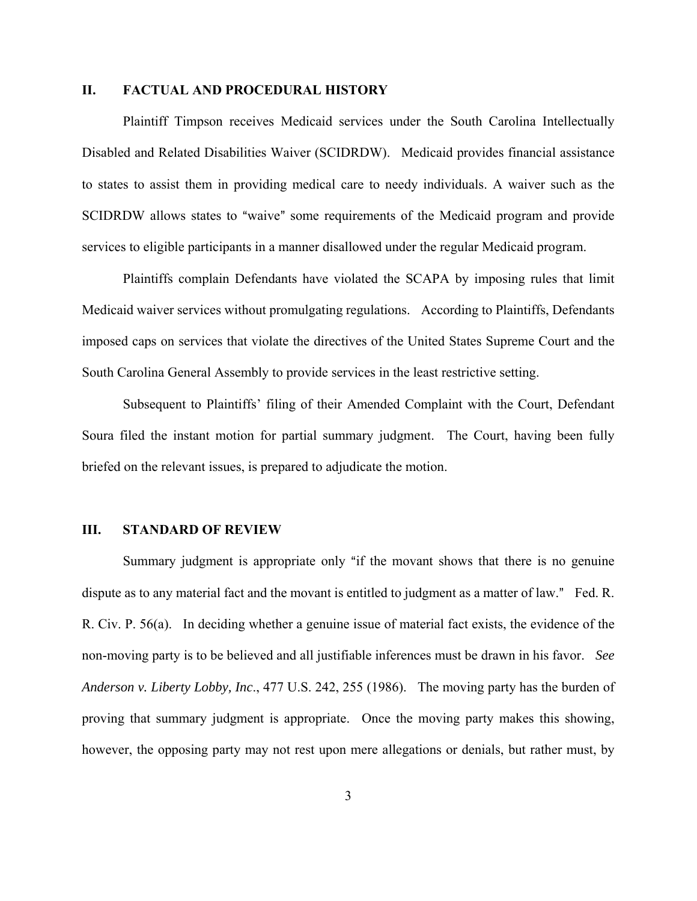### **II. FACTUAL AND PROCEDURAL HISTORY**

Plaintiff Timpson receives Medicaid services under the South Carolina Intellectually Disabled and Related Disabilities Waiver (SCIDRDW). Medicaid provides financial assistance to states to assist them in providing medical care to needy individuals. A waiver such as the SCIDRDW allows states to "waive" some requirements of the Medicaid program and provide services to eligible participants in a manner disallowed under the regular Medicaid program.

Plaintiffs complain Defendants have violated the SCAPA by imposing rules that limit Medicaid waiver services without promulgating regulations. According to Plaintiffs, Defendants imposed caps on services that violate the directives of the United States Supreme Court and the South Carolina General Assembly to provide services in the least restrictive setting.

Subsequent to Plaintiffs' filing of their Amended Complaint with the Court, Defendant Soura filed the instant motion for partial summary judgment. The Court, having been fully briefed on the relevant issues, is prepared to adjudicate the motion.

#### **III. STANDARD OF REVIEW**

Summary judgment is appropriate only "if the movant shows that there is no genuine dispute as to any material fact and the movant is entitled to judgment as a matter of law." Fed. R. R. Civ. P. 56(a). In deciding whether a genuine issue of material fact exists, the evidence of the non-moving party is to be believed and all justifiable inferences must be drawn in his favor. *See Anderson v. Liberty Lobby, Inc*., 477 U.S. 242, 255 (1986). The moving party has the burden of proving that summary judgment is appropriate. Once the moving party makes this showing, however, the opposing party may not rest upon mere allegations or denials, but rather must, by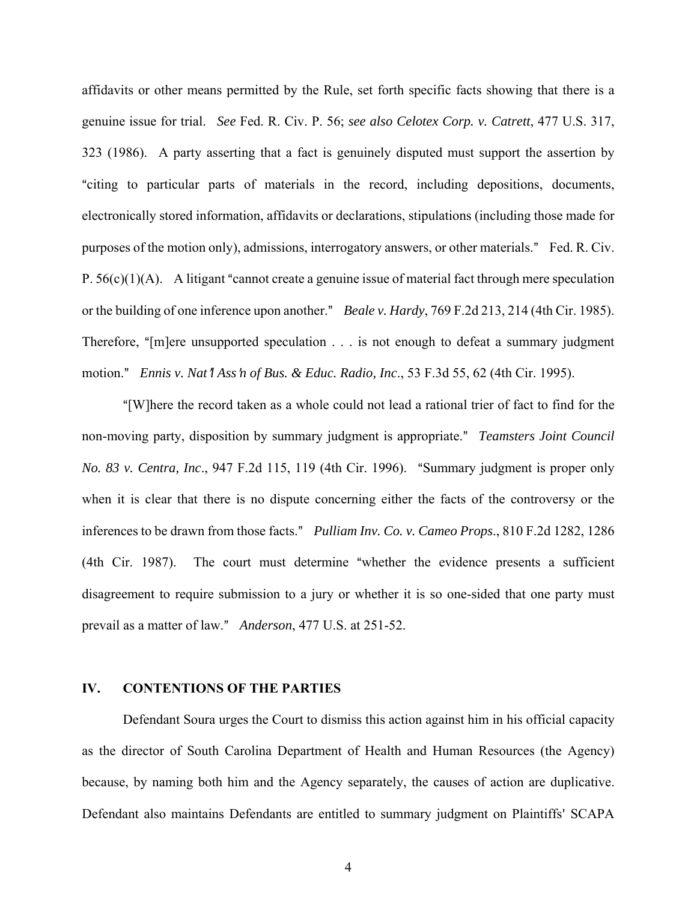affidavits or other means permitted by the Rule, set forth specific facts showing that there is a genuine issue for trial. *See* Fed. R. Civ. P. 56; *see also Celotex Corp. v. Catrett*, 477 U.S. 317, 323 (1986). A party asserting that a fact is genuinely disputed must support the assertion by "citing to particular parts of materials in the record, including depositions, documents, electronically stored information, affidavits or declarations, stipulations (including those made for purposes of the motion only), admissions, interrogatory answers, or other materials." Fed. R. Civ. P.  $56(c)(1)(A)$ . A litigant "cannot create a genuine issue of material fact through mere speculation or the building of one inference upon another." *Beale v. Hardy*, 769 F.2d 213, 214 (4th Cir. 1985). Therefore, " $[m]$ ere unsupported speculation  $\ldots$  is not enough to defeat a summary judgment motion.@ *Ennis v. Nat*=*l Ass*=*n of Bus. & Educ. Radio, Inc*., 53 F.3d 55, 62 (4th Cir. 1995).

A[W]here the record taken as a whole could not lead a rational trier of fact to find for the non-moving party, disposition by summary judgment is appropriate." *Teamsters Joint Council No. 83 v. Centra, Inc.*, 947 F.2d 115, 119 (4th Cir. 1996). "Summary judgment is proper only when it is clear that there is no dispute concerning either the facts of the controversy or the inferences to be drawn from those facts." *Pulliam Inv. Co. v. Cameo Props.*, 810 F.2d 1282, 1286  $(4th$  Cir. 1987). The court must determine "whether the evidence presents a sufficient disagreement to require submission to a jury or whether it is so one-sided that one party must prevail as a matter of law.@ *Anderson*, 477 U.S. at 251-52.

### **IV. CONTENTIONS OF THE PARTIES**

Defendant Soura urges the Court to dismiss this action against him in his official capacity as the director of South Carolina Department of Health and Human Resources (the Agency) because, by naming both him and the Agency separately, the causes of action are duplicative. Defendant also maintains Defendants are entitled to summary judgment on Plaintiffs' SCAPA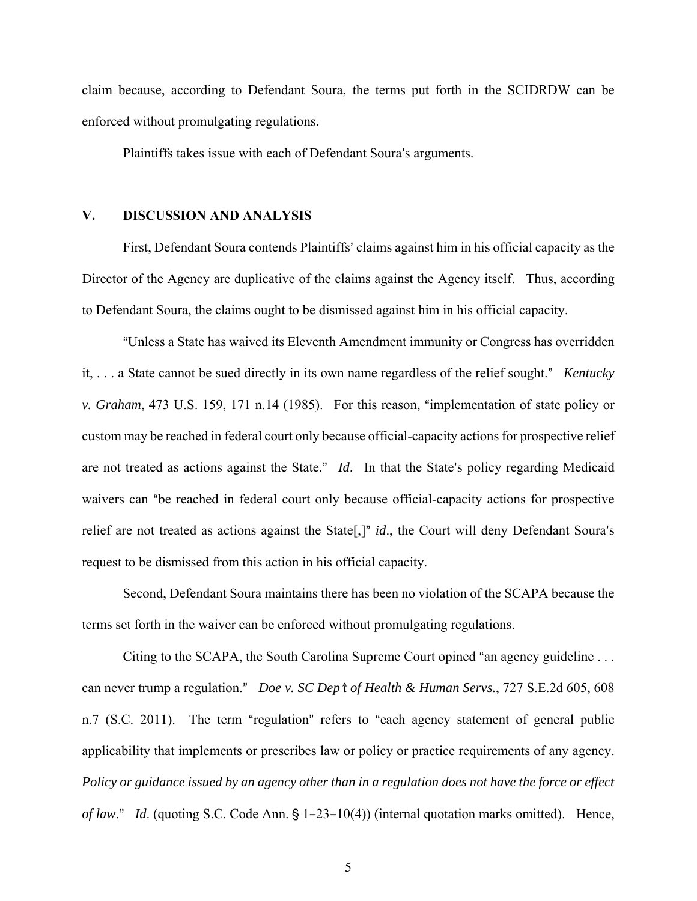claim because, according to Defendant Soura, the terms put forth in the SCIDRDW can be enforced without promulgating regulations.

Plaintiffs takes issue with each of Defendant Soura's arguments.

### **V. DISCUSSION AND ANALYSIS**

First, Defendant Soura contends Plaintiffs' claims against him in his official capacity as the Director of the Agency are duplicative of the claims against the Agency itself. Thus, according to Defendant Soura, the claims ought to be dismissed against him in his official capacity.

AUnless a State has waived its Eleventh Amendment immunity or Congress has overridden it, . . . a State cannot be sued directly in its own name regardless of the relief sought." *Kentucky v. Graham*, 473 U.S. 159, 171 n.14 (1985). For this reason, "implementation of state policy or custom may be reached in federal court only because official-capacity actions for prospective relief are not treated as actions against the State." *Id*. In that the State's policy regarding Medicaid waivers can "be reached in federal court only because official-capacity actions for prospective relief are not treated as actions against the State<sup>[1]</sup> *id.*, the Court will deny Defendant Soura's request to be dismissed from this action in his official capacity.

Second, Defendant Soura maintains there has been no violation of the SCAPA because the terms set forth in the waiver can be enforced without promulgating regulations.

Citing to the SCAPA, the South Carolina Supreme Court opined "an agency guideline  $\ldots$ can never trump a regulation." *Doe v. SC Dep't of Health & Human Servs.*, 727 S.E.2d 605, 608 n.7 (S.C. 2011). The term "regulation" refers to "each agency statement of general public applicability that implements or prescribes law or policy or practice requirements of any agency. *Policy or guidance issued by an agency other than in a regulation does not have the force or effect of law.*" *Id.* (quoting S.C. Code Ann. § 1-23-10(4)) (internal quotation marks omitted). Hence,